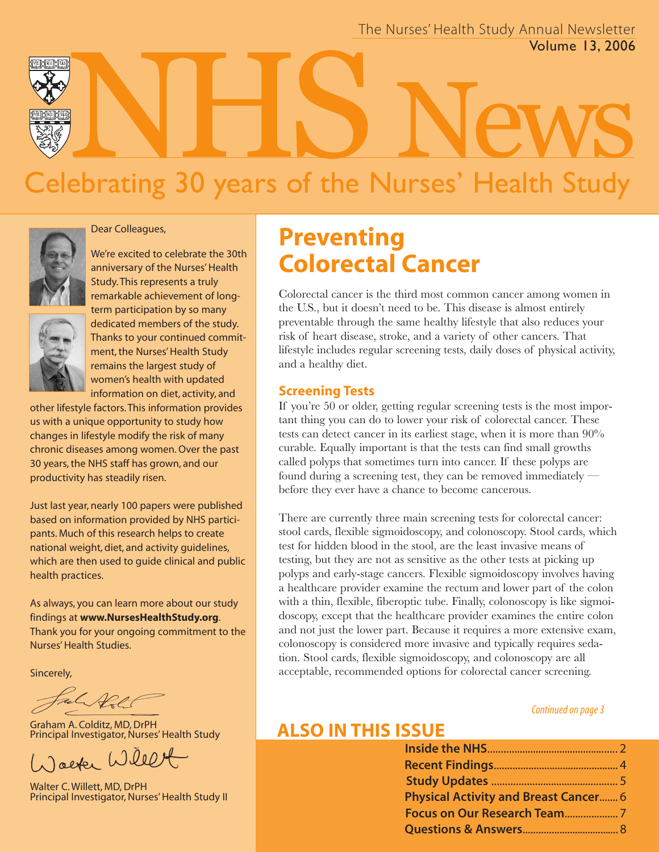

# Celebrating 30 years of the Nurses' Health Study Volume 13, 2006



#### Dear Colleagues,

We're excited to celebrate the 30th anniversary of the Nurses' Health Study. This represents a truly remarkable achievement of longterm participation by so many dedicated members of the study. Thanks to your continued commitment, the Nurses' Health Study remains the largest study of women's health with updated information on diet, activity, and

other lifestyle factors. This information provides us with a unique opportunity to study how changes in lifestyle modify the risk of many chronic diseases among women. Over the past 30 years, the NHS staff has grown, and our productivity has steadily risen.

Just last year, nearly 100 papers were published based on information provided by NHS participants. Much of this research helps to create national weight, diet, and activity guidelines, which are then used to guide clinical and public health practices.

As always, you can learn more about our study findings at **www.NursesHealthStudy.org**. Thank you for your ongoing commitment to the Nurses'Health Studies.

Sincerely,

Graham A. Colditz, MD, DrPH Principal Investigator, Nurses' Health Study

Jacker Willet

Walter C. Willett, MD, DrPH Principal Investigator, Nurses' Health Study II

# **Preventing Colorectal Cancer**

Colorectal cancer is the third most common cancer among women in the U.S., but it doesn't need to be. This disease is almost entirely preventable through the same healthy lifestyle that also reduces your risk of heart disease, stroke, and a variety of other cancers. That lifestyle includes regular screening tests, daily doses of physical activity, and a healthy diet.

#### **Screening Tests**

If you're 50 or older, getting regular screening tests is the most important thing you can do to lower your risk of colorectal cancer. These tests can detect cancer in its earliest stage, when it is more than 90% curable. Equally important is that the tests can find small growths called polyps that sometimes turn into cancer. If these polyps are found during a screening test, they can be removed immediately before they ever have a chance to become cancerous.

There are currently three main screening tests for colorectal cancer: stool cards, flexible sigmoidoscopy, and colonoscopy. Stool cards, which test for hidden blood in the stool, are the least invasive means of testing, but they are not as sensitive as the other tests at picking up polyps and early-stage cancers. Flexible sigmoidoscopy involves having a healthcare provider examine the rectum and lower part of the colon with a thin, flexible, fiberoptic tube. Finally, colonoscopy is like sigmoidoscopy, except that the healthcare provider examines the entire colon and not just the lower part. Because it requires a more extensive exam, colonoscopy is considered more invasive and typically requires sedation. Stool cards, flexible sigmoidoscopy, and colonoscopy are all acceptable, recommended options for colorectal cancer screening.

#### Continued on page 3

## **ALSO IN THIS ISSUE**

| <b>Physical Activity and Breast Cancer 6</b> |  |
|----------------------------------------------|--|
|                                              |  |
|                                              |  |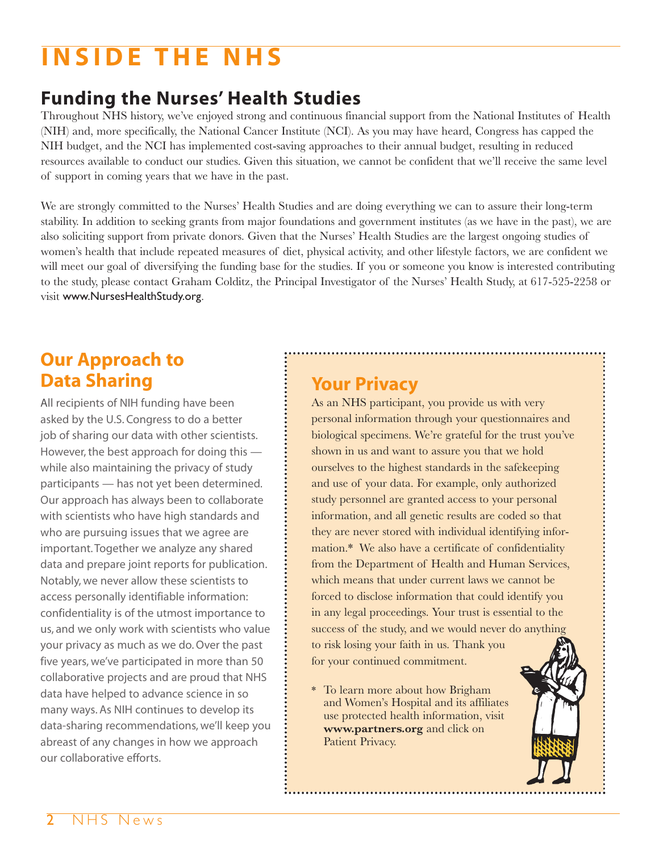# **INSIDE THE NHS**

# **Funding the Nurses' Health Studies**

Throughout NHS history, we've enjoyed strong and continuous financial support from the National Institutes of Health (NIH) and, more specifically, the National Cancer Institute (NCI). As you may have heard, Congress has capped the NIH budget, and the NCI has implemented cost-saving approaches to their annual budget, resulting in reduced resources available to conduct our studies. Given this situation, we cannot be confident that we'll receive the same level of support in coming years that we have in the past.

We are strongly committed to the Nurses' Health Studies and are doing everything we can to assure their long-term stability. In addition to seeking grants from major foundations and government institutes (as we have in the past), we are also soliciting support from private donors. Given that the Nurses' Health Studies are the largest ongoing studies of women's health that include repeated measures of diet, physical activity, and other lifestyle factors, we are confident we will meet our goal of diversifying the funding base for the studies. If you or someone you know is interested contributing to the study, please contact Graham Colditz, the Principal Investigator of the Nurses' Health Study, at 617-525-2258 or visit www.NursesHealthStudy.org.

## **Our Approach to Data Sharing**

All recipients of NIH funding have been asked by the U.S. Congress to do a better job of sharing our data with other scientists. However, the best approach for doing this while also maintaining the privacy of study participants — has not yet been determined. Our approach has always been to collaborate with scientists who have high standards and who are pursuing issues that we agree are important. Together we analyze any shared data and prepare joint reports for publication. Notably, we never allow these scientists to access personally identifiable information: confidentiality is of the utmost importance to us, and we only work with scientists who value your privacy as much as we do. Over the past five years, we've participated in more than 50 collaborative projects and are proud that NHS data have helped to advance science in so many ways. As NIH continues to develop its data-sharing recommendations, we'll keep you abreast of any changes in how we approach our collaborative efforts.

# **Your Privacy**

As an NHS participant, you provide us with very personal information through your questionnaires and biological specimens. We're grateful for the trust you've shown in us and want to assure you that we hold ourselves to the highest standards in the safekeeping and use of your data. For example, only authorized study personnel are granted access to your personal information, and all genetic results are coded so that they are never stored with individual identifying information.\* We also have a certificate of confidentiality from the Department of Health and Human Services, which means that under current laws we cannot be forced to disclose information that could identify you in any legal proceedings. Your trust is essential to the success of the study, and we would never do anything to risk losing your faith in us. Thank you for your continued commitment.

\* To learn more about how Brigham and Women's Hospital and its affiliates use protected health information, visit **www.partners.org** and click on Patient Privacy.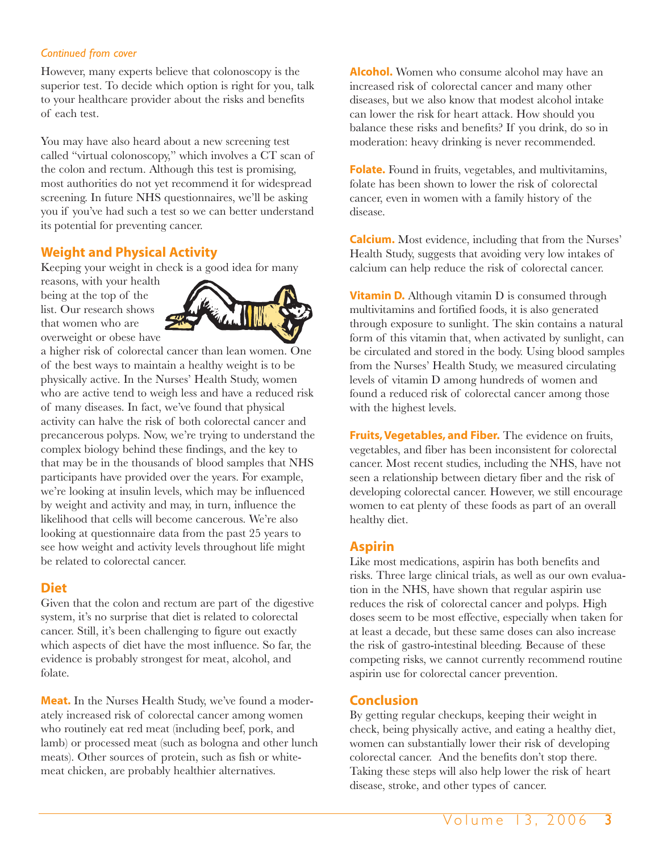#### *Continued from cover*

However, many experts believe that colonoscopy is the superior test. To decide which option is right for you, talk to your healthcare provider about the risks and benefits of each test.

You may have also heard about a new screening test called "virtual colonoscopy," which involves a CT scan of the colon and rectum. Although this test is promising, most authorities do not yet recommend it for widespread screening. In future NHS questionnaires, we'll be asking you if you've had such a test so we can better understand its potential for preventing cancer.

#### **Weight and Physical Activity**

Keeping your weight in check is a good idea for many

reasons, with your health being at the top of the list. Our research shows that women who are overweight or obese have



a higher risk of colorectal cancer than lean women. One of the best ways to maintain a healthy weight is to be physically active. In the Nurses' Health Study, women who are active tend to weigh less and have a reduced risk of many diseases. In fact, we've found that physical activity can halve the risk of both colorectal cancer and precancerous polyps. Now, we're trying to understand the complex biology behind these findings, and the key to that may be in the thousands of blood samples that NHS participants have provided over the years. For example, we're looking at insulin levels, which may be influenced by weight and activity and may, in turn, influence the likelihood that cells will become cancerous. We're also looking at questionnaire data from the past 25 years to see how weight and activity levels throughout life might be related to colorectal cancer.

#### **Diet**

Given that the colon and rectum are part of the digestive system, it's no surprise that diet is related to colorectal cancer. Still, it's been challenging to figure out exactly which aspects of diet have the most influence. So far, the evidence is probably strongest for meat, alcohol, and folate.

**Meat.** In the Nurses Health Study, we've found a moderately increased risk of colorectal cancer among women who routinely eat red meat (including beef, pork, and lamb) or processed meat (such as bologna and other lunch meats). Other sources of protein, such as fish or whitemeat chicken, are probably healthier alternatives.

**Alcohol.** Women who consume alcohol may have an increased risk of colorectal cancer and many other diseases, but we also know that modest alcohol intake can lower the risk for heart attack. How should you balance these risks and benefits? If you drink, do so in moderation: heavy drinking is never recommended.

**Folate.** Found in fruits, vegetables, and multivitamins, folate has been shown to lower the risk of colorectal cancer, even in women with a family history of the disease.

**Calcium.** Most evidence, including that from the Nurses' Health Study, suggests that avoiding very low intakes of calcium can help reduce the risk of colorectal cancer.

**Vitamin D.** Although vitamin D is consumed through multivitamins and fortified foods, it is also generated through exposure to sunlight. The skin contains a natural form of this vitamin that, when activated by sunlight, can be circulated and stored in the body. Using blood samples from the Nurses' Health Study, we measured circulating levels of vitamin D among hundreds of women and found a reduced risk of colorectal cancer among those with the highest levels.

**Fruits, Vegetables, and Fiber.** The evidence on fruits, vegetables, and fiber has been inconsistent for colorectal cancer. Most recent studies, including the NHS, have not seen a relationship between dietary fiber and the risk of developing colorectal cancer. However, we still encourage women to eat plenty of these foods as part of an overall healthy diet.

#### **Aspirin**

Like most medications, aspirin has both benefits and risks. Three large clinical trials, as well as our own evaluation in the NHS, have shown that regular aspirin use reduces the risk of colorectal cancer and polyps. High doses seem to be most effective, especially when taken for at least a decade, but these same doses can also increase the risk of gastro-intestinal bleeding. Because of these competing risks, we cannot currently recommend routine aspirin use for colorectal cancer prevention.

#### **Conclusion**

By getting regular checkups, keeping their weight in check, being physically active, and eating a healthy diet, women can substantially lower their risk of developing colorectal cancer. And the benefits don't stop there. Taking these steps will also help lower the risk of heart disease, stroke, and other types of cancer.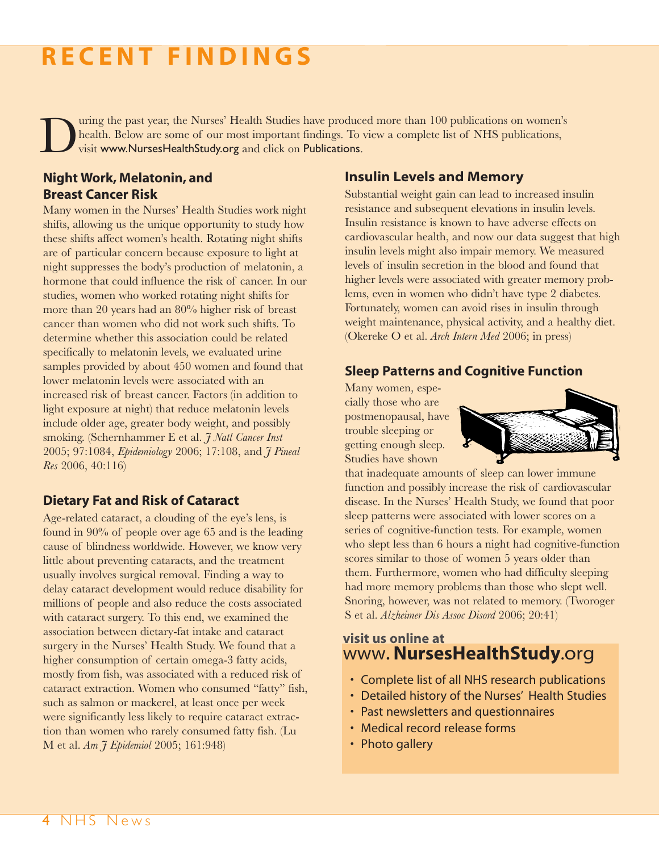# **R E C ENT F INDINGS**

uring the past year, the Nurses' Health Studies have produced more than 100 publications on women's health. Below are some of our most important findings. To view a complete list of NHS publications, visit www.NursesHealthStudy.org and click on Publications.

#### **Night Work, Melatonin, and Breast Cancer Risk**

Many women in the Nurses' Health Studies work night shifts, allowing us the unique opportunity to study how these shifts affect women's health. Rotating night shifts are of particular concern because exposure to light at night suppresses the body's production of melatonin, a hormone that could influence the risk of cancer. In our studies, women who worked rotating night shifts for more than 20 years had an 80% higher risk of breast cancer than women who did not work such shifts. To determine whether this association could be related specifically to melatonin levels, we evaluated urine samples provided by about 450 women and found that lower melatonin levels were associated with an increased risk of breast cancer. Factors (in addition to light exposure at night) that reduce melatonin levels include older age, greater body weight, and possibly smoking. (Schernhammer E et al. *J Natl Cancer Inst* 2005; 97:1084, *Epidemiology* 2006; 17:108, and *J Pineal Res* 2006, 40:116)

#### **Dietary Fat and Risk of Cataract**

Age-related cataract, a clouding of the eye's lens, is found in 90% of people over age 65 and is the leading cause of blindness worldwide. However, we know very little about preventing cataracts, and the treatment usually involves surgical removal. Finding a way to delay cataract development would reduce disability for millions of people and also reduce the costs associated with cataract surgery. To this end, we examined the association between dietary-fat intake and cataract surgery in the Nurses' Health Study. We found that a higher consumption of certain omega-3 fatty acids, mostly from fish, was associated with a reduced risk of cataract extraction. Women who consumed "fatty" fish, such as salmon or mackerel, at least once per week were significantly less likely to require cataract extraction than women who rarely consumed fatty fish. (Lu M et al. *Am J Epidemiol* 2005; 161:948)

#### **Insulin Levels and Memory**

Substantial weight gain can lead to increased insulin resistance and subsequent elevations in insulin levels. Insulin resistance is known to have adverse effects on cardiovascular health, and now our data suggest that high insulin levels might also impair memory. We measured levels of insulin secretion in the blood and found that higher levels were associated with greater memory problems, even in women who didn't have type 2 diabetes. Fortunately, women can avoid rises in insulin through weight maintenance, physical activity, and a healthy diet. (Okereke O et al. *Arch Intern Med* 2006; in press)

#### **Sleep Patterns and Cognitive Function**

Many women, especially those who are postmenopausal, have trouble sleeping or getting enough sleep. Studies have shown



that inadequate amounts of sleep can lower immune function and possibly increase the risk of cardiovascular disease. In the Nurses' Health Study, we found that poor sleep patterns were associated with lower scores on a series of cognitive-function tests. For example, women who slept less than 6 hours a night had cognitive-function scores similar to those of women 5 years older than them. Furthermore, women who had difficulty sleeping had more memory problems than those who slept well. Snoring, however, was not related to memory. (Tworoger S et al. *Alzheimer Dis Assoc Disord* 2006; 20:41)

#### **visit us online at**  www.**NursesHealthStudy**.org

- Complete list of all NHS research publications
- Detailed history of the Nurses' Health Studies
- Past newsletters and questionnaires
- Medical record release forms
- Photo gallery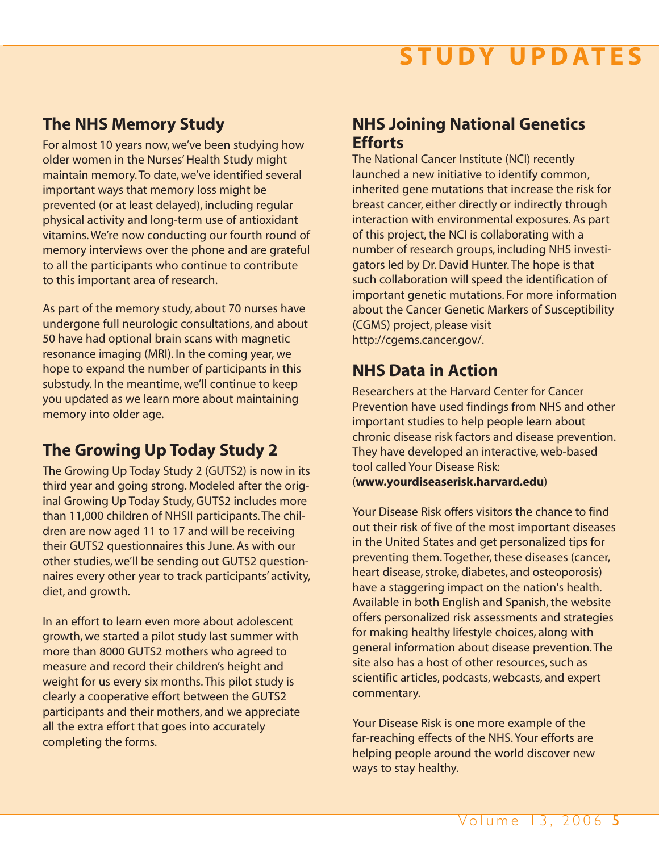# $$

## **The NHS Memory Study**

For almost 10 years now, we've been studying how older women in the Nurses' Health Study might maintain memory. To date, we've identified several important ways that memory loss might be prevented (or at least delayed), including regular physical activity and long-term use of antioxidant vitamins. We're now conducting our fourth round of memory interviews over the phone and are grateful to all the participants who continue to contribute to this important area of research.

As part of the memory study, about 70 nurses have undergone full neurologic consultations, and about 50 have had optional brain scans with magnetic resonance imaging (MRI). In the coming year, we hope to expand the number of participants in this substudy. In the meantime, we'll continue to keep you updated as we learn more about maintaining memory into older age.

## **The Growing Up Today Study 2**

The Growing Up Today Study 2 (GUTS2) is now in its third year and going strong. Modeled after the original Growing Up Today Study, GUTS2 includes more than 11,000 children of NHSII participants. The children are now aged 11 to 17 and will be receiving their GUTS2 questionnaires this June. As with our other studies, we'll be sending out GUTS2 questionnaires every other year to track participants' activity, diet, and growth.

In an effort to learn even more about adolescent growth, we started a pilot study last summer with more than 8000 GUTS2 mothers who agreed to measure and record their children's height and weight for us every six months. This pilot study is clearly a cooperative effort between the GUTS2 participants and their mothers, and we appreciate all the extra effort that goes into accurately completing the forms.

## **NHS Joining National Genetics Efforts**

The National Cancer Institute (NCI) recently launched a new initiative to identify common, inherited gene mutations that increase the risk for breast cancer, either directly or indirectly through interaction with environmental exposures. As part of this project, the NCI is collaborating with a number of research groups, including NHS investigators led by Dr. David Hunter. The hope is that such collaboration will speed the identification of important genetic mutations. For more information about the Cancer Genetic Markers of Susceptibility (CGMS) project, please visit http://cgems.cancer.gov/.

## **NHS Data in Action**

Researchers at the Harvard Center for Cancer Prevention have used findings from NHS and other important studies to help people learn about chronic disease risk factors and disease prevention. They have developed an interactive, web-based tool called Your Disease Risk: (**www.yourdiseaserisk.harvard.edu**)

Your Disease Risk offers visitors the chance to find out their risk of five of the most important diseases in the United States and get personalized tips for preventing them. Together, these diseases (cancer, heart disease, stroke, diabetes, and osteoporosis) have a staggering impact on the nation's health. Available in both English and Spanish, the website offers personalized risk assessments and strategies for making healthy lifestyle choices, along with general information about disease prevention. The site also has a host of other resources, such as scientific articles, podcasts, webcasts, and expert commentary.

Your Disease Risk is one more example of the far-reaching effects of the NHS. Your efforts are helping people around the world discover new ways to stay healthy.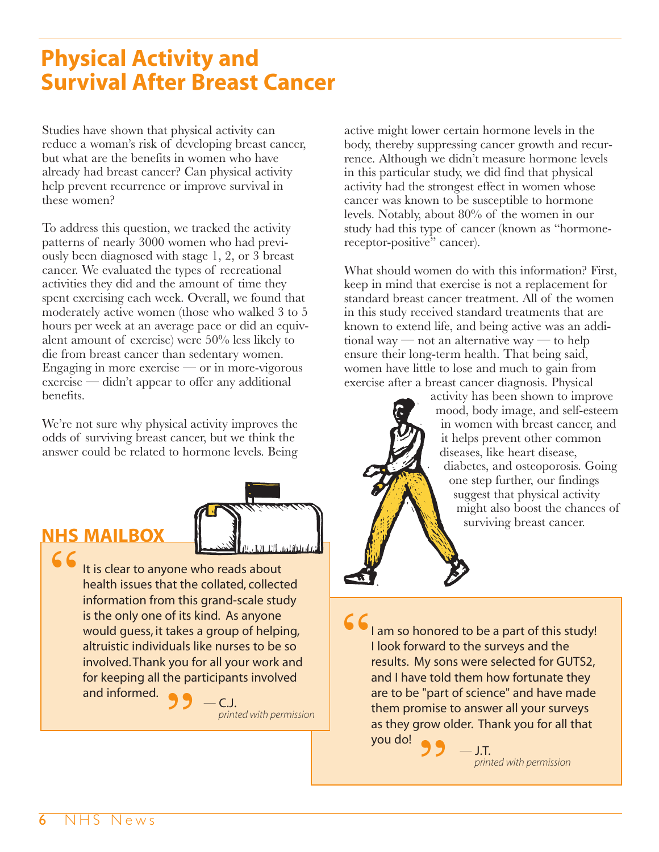# **Physical Activity and Survival After Breast Cancer**

Studies have shown that physical activity can reduce a woman's risk of developing breast cancer, but what are the benefits in women who have already had breast cancer? Can physical activity help prevent recurrence or improve survival in these women?

To address this question, we tracked the activity patterns of nearly 3000 women who had previously been diagnosed with stage 1, 2, or 3 breast cancer. We evaluated the types of recreational activities they did and the amount of time they spent exercising each week. Overall, we found that moderately active women (those who walked 3 to 5 hours per week at an average pace or did an equivalent amount of exercise) were 50% less likely to die from breast cancer than sedentary women. Engaging in more exercise — or in more-vigorous exercise — didn't appear to offer any additional benefits.

We're not sure why physical activity improves the odds of surviving breast cancer, but we think the answer could be related to hormone levels. Being



## **NHS MAILBOX**

It is clear to anyone who reads about health issues that the collated, collected information from this grand-scale study is the only one of its kind. As anyone would guess, it takes a group of helping, altruistic individuals like nurses to be so involved. Thank you for all your work and for keeping all the participants involved **"** and informed.

 $-$  C.J. printed with permission

active might lower certain hormone levels in the body, thereby suppressing cancer growth and recurrence. Although we didn't measure hormone levels in this particular study, we did find that physical activity had the strongest effect in women whose cancer was known to be susceptible to hormone levels. Notably, about 80% of the women in our study had this type of cancer (known as "hormonereceptor-positive" cancer).

What should women do with this information? First, keep in mind that exercise is not a replacement for standard breast cancer treatment. All of the women in this study received standard treatments that are known to extend life, and being active was an additional way — not an alternative way — to help ensure their long-term health. That being said, women have little to lose and much to gain from exercise after a breast cancer diagnosis. Physical

activity has been shown to improve mood, body image, and self-esteem in women with breast cancer, and it helps prevent other common diseases, like heart disease, diabetes, and osteoporosis. Going one step further, our findings suggest that physical activity might also boost the chances of surviving breast cancer.

I am so honored to be a part of this study! I look forward to the surveys and the results. My sons were selected for GUTS2, and I have told them how fortunate they are to be "part of science" and have made them promise to answer all your surveys as they grow older. Thank you for all that **"** you do! **"**

 $-$  **J.T.**<br>printed with permission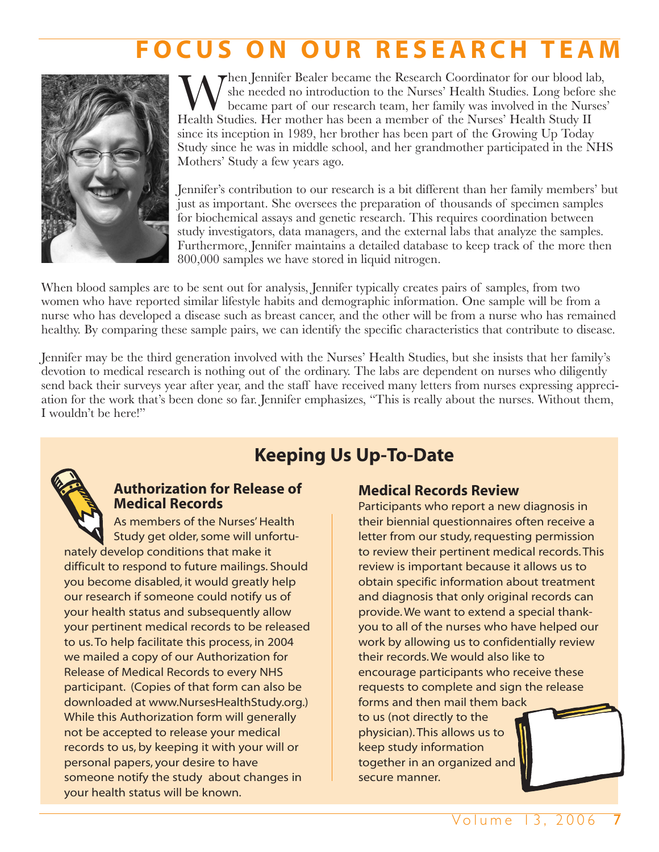# **FOCUS ON OUR RESEARCH TEA**



 $\blacktriangledown$ hen Jennifer Bealer became the Research Coordinator for our blood lab, she needed no introduction to the Nurses' Health Studies. Long before she became part of our research team, her family was involved in the Nurses' Health Studies. Her mother has been a member of the Nurses' Health Study II since its inception in 1989, her brother has been part of the Growing Up Today Study since he was in middle school, and her grandmother participated in the NHS Mothers' Study a few years ago.

Jennifer's contribution to our research is a bit different than her family members' but just as important. She oversees the preparation of thousands of specimen samples for biochemical assays and genetic research. This requires coordination between study investigators, data managers, and the external labs that analyze the samples. Furthermore, Jennifer maintains a detailed database to keep track of the more then 800,000 samples we have stored in liquid nitrogen.

When blood samples are to be sent out for analysis, Jennifer typically creates pairs of samples, from two women who have reported similar lifestyle habits and demographic information. One sample will be from a nurse who has developed a disease such as breast cancer, and the other will be from a nurse who has remained healthy. By comparing these sample pairs, we can identify the specific characteristics that contribute to disease.

Jennifer may be the third generation involved with the Nurses' Health Studies, but she insists that her family's devotion to medical research is nothing out of the ordinary. The labs are dependent on nurses who diligently send back their surveys year after year, and the staff have received many letters from nurses expressing appreciation for the work that's been done so far. Jennifer emphasizes, "This is really about the nurses. Without them, I wouldn't be here!"

**Keeping Us Up-To-Date**



## **Authorization for Release of Medical Records**

As members of the Nurses' Health Study get older, some will unfortunately develop conditions that make it difficult to respond to future mailings. Should you become disabled, it would greatly help our research if someone could notify us of your health status and subsequently allow your pertinent medical records to be released to us. To help facilitate this process, in 2004 we mailed a copy of our Authorization for Release of Medical Records to every NHS participant. (Copies of that form can also be downloaded at www.NursesHealthStudy.org.) While this Authorization form will generally not be accepted to release your medical records to us, by keeping it with your will or personal papers, your desire to have someone notify the study about changes in your health status will be known.

#### **Medical Records Review**

Participants who report a new diagnosis in their biennial questionnaires often receive a letter from our study, requesting permission to review their pertinent medical records. This review is important because it allows us to obtain specific information about treatment and diagnosis that only original records can provide. We want to extend a special thankyou to all of the nurses who have helped our work by allowing us to confidentially review their records. We would also like to encourage participants who receive these requests to complete and sign the release forms and then mail them back

to us (not directly to the physician). This allows us to keep study information together in an organized and secure manner.